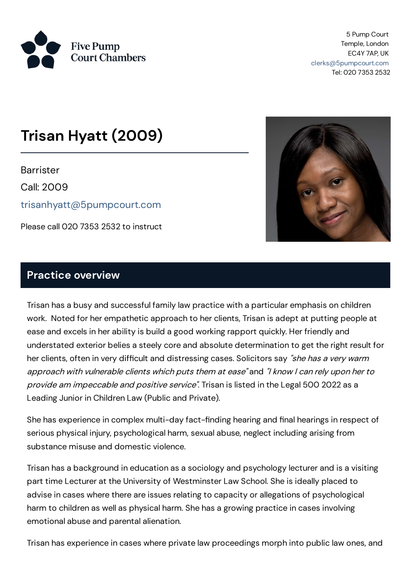

5 Pump Court Temple, London EC4Y 7AP, UK [clerks@5pumpcourt.com](mailto:clerks@5pumpcourt.com) Tel: 020 7353 2532

# **Trisan Hyatt (2009)**

**Barrister** 

Call: 2009

[trisanhyatt@5pumpcourt.com](mailto:trisanhyatt@5pumpcourt.com)

Please call 020 7353 2532 to instruct



#### **Practice overview**

Trisan has a busy and successful family law practice with a particular emphasis on children work. Noted for her empathetic approach to her clients, Trisan is adept at putting people at ease and excels in her ability is build a good working rapport quickly. Her friendly and understated exterior belies a steely core and absolute determination to get the right result for her clients, often in very difficult and distressing cases. Solicitors say "she has a very warm approach with vulnerable clients which puts them at ease" and "I know <sup>I</sup> can rely upon her to provide am impeccable and positive service". Trisan is listed in the Legal 500 2022 as a Leading Junior in Children Law (Public and Private).

She has experience in complex multi-day fact-finding hearing and final hearings in respect of serious physical injury, psychological harm, sexual abuse, neglect including arising from substance misuse and domestic violence.

Trisan has a background in education as a sociology and psychology lecturer and is a visiting part time Lecturer at the University of Westminster Law School. She is ideally placed to advise in cases where there are issues relating to capacity or allegations of psychological harm to children as well as physical harm. She has a growing practice in cases involving emotional abuse and parental alienation.

Trisan has experience in cases where private law proceedings morph into public law ones, and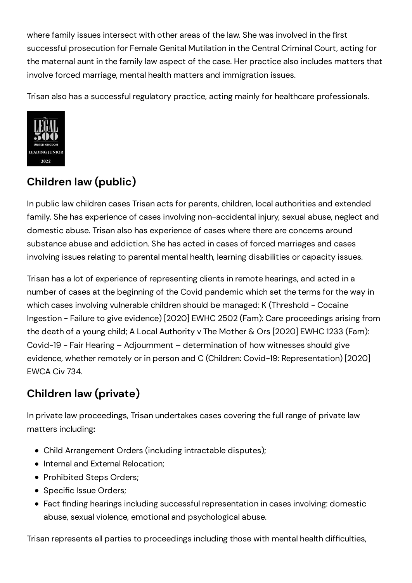where family issues intersect with other areas of the law. She was involved in the first successful prosecution for Female Genital Mutilation in the Central Criminal Court, acting for the maternal aunt in the family law aspect of the case. Her practice also includes matters that involve forced marriage, mental health matters and immigration issues.

Trisan also has a successful regulatory practice, acting mainly for healthcare professionals.



# **Children law (public)**

In public law children cases Trisan acts for parents, children, local authorities and extended family. She has experience of cases involving non-accidental injury, sexual abuse, neglect and domestic abuse. Trisan also has experience of cases where there are concerns around substance abuse and addiction. She has acted in cases of forced marriages and cases involving issues relating to parental mental health, learning disabilities or capacity issues.

Trisan has a lot of experience of representing clients in remote hearings, and acted in a number of cases at the beginning of the Covid pandemic which set the terms for the way in which cases involving vulnerable children should be managed: K (Threshold - Cocaine Ingestion - Failure to give evidence) [2020] EWHC 2502 (Fam): Care proceedings arising from the death of a young child; A Local Authority v The Mother & Ors [2020] EWHC 1233 (Fam): Covid-19 - Fair Hearing – Adjournment – determination of how witnesses should give evidence, whether remotely or in person and C (Children: Covid-19: Representation) [2020] EWCA Civ 734.

## **Children law (private)**

In private law proceedings, Trisan undertakes cases covering the full range of private law matters including**:**

- Child Arrangement Orders (including intractable disputes);
- Internal and External Relocation:
- Prohibited Steps Orders;
- Specific Issue Orders;
- Fact finding hearings including successful representation in cases involving: domestic abuse, sexual violence, emotional and psychological abuse.

Trisan represents all parties to proceedings including those with mental health difficulties,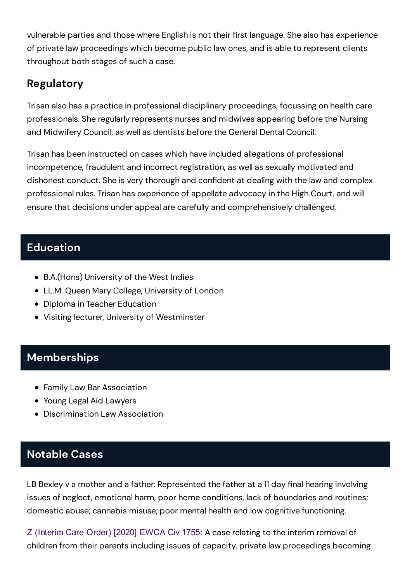vulnerable parties and those where English is not their first language. She also has experience of private law proceedings which become public law ones, and is able to represent clients throughout both stages of such a case.

### **Regulatory**

Trisan also has a practice in professional disciplinary proceedings, focussing on health care professionals. She regularly represents nurses and midwives appearing before the Nursing and Midwifery Council, as well as dentists before the General Dental Council.

Trisan has been instructed on cases which have included allegations of professional incompetence, fraudulent and incorrect registration, as well as sexually motivated and dishonest conduct. She is very thorough and confident at dealing with the law and complex professional rules. Trisan has experience of appellate advocacy in the High Court, and will ensure that decisions under appeal are carefully and comprehensively challenged.

#### **Education**

- B.A.(Hons) University of the West Indies
- LL.M. Queen Mary College, University of London
- Diploma in Teacher Education
- Visiting lecturer, University of Westminster

#### **Memberships**

- Family Law Bar Association
- Young Legal Aid Lawyers
- Discrimination Law Association

#### **Notable Cases**

LB Bexley v a mother and a father: Represented the father at a 11 day final hearing involving issues of neglect, emotional harm, poor home conditions, lack of boundaries and routines; domestic abuse; cannabis misuse; poor mental health and low cognitive functioning.

Z [\(Interim](https://www.bailii.org/ew/cases/EWCA/Civ/2020/1755.html) Care Order) [2020] EWCA Civ 1755: A case relating to the interim removal of children from their parents including issues of capacity, private law proceedings becoming